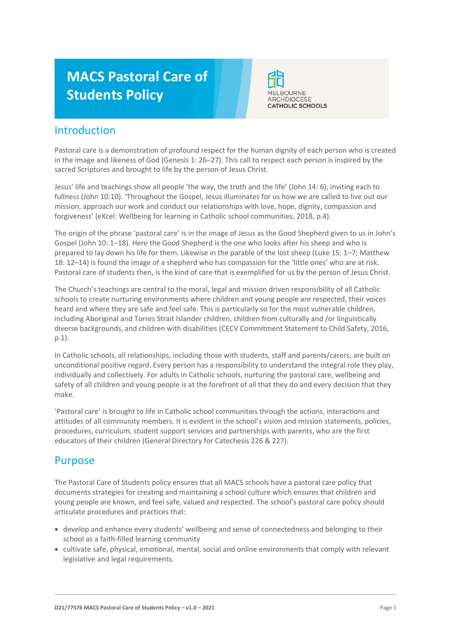# **MACS Pastoral Care of Students Policy**



### Introduction

Pastoral care is a demonstration of profound respect for the human dignity of each person who is created in the image and likeness of God (Genesis 1: 26–27). This call to respect each person is inspired by the sacred Scriptures and brought to life by the person of Jesus Christ.

Jesus' life and teachings show all people 'the way, the truth and the life' (John 14: 6), inviting each to fullness (John 10:10). 'Throughout the Gospel, Jesus illuminates for us how we are called to live out our mission, approach our work and conduct our relationships with love, hope, dignity, compassion and forgiveness' (eXcel: Wellbeing for learning in Catholic school communities, 2018, p.4).

The origin of the phrase 'pastoral care' is in the image of Jesus as the Good Shepherd given to us in John's Gospel (John 10: 1–18). Here the Good Shepherd is the one who looks after his sheep and who is prepared to lay down his life for them. Likewise in the parable of the lost sheep (Luke 15: 1–7; Matthew 18: 12–14) is found the image of a shepherd who has compassion for the 'little ones' who are at risk. Pastoral care of students then, is the kind of care that is exemplified for us by the person of Jesus Christ.

The Church's teachings are central to the moral, legal and mission driven responsibility of all Catholic schools to create nurturing environments where children and young people are respected, their voices heard and where they are safe and feel safe. This is particularly so for the most vulnerable children, including Aboriginal and Torres Strait Islander children, children from culturally and /or linguistically diverse backgrounds, and children with disabilities (CECV Commitment Statement to Child Safety, 2016, p.1).

In Catholic schools, all relationships, including those with students, staff and parents/carers, are built on unconditional positive regard. Every person has a responsibility to understand the integral role they play, individually and collectively. For adults in Catholic schools, nurturing the pastoral care, wellbeing and safety of all children and young people is at the forefront of all that they do and every decision that they make.

'Pastoral care' is brought to life in Catholic school communities through the actions, interactions and attitudes of all community members. It is evident in the school's vision and mission statements, policies, procedures, curriculum, student support services and partnerships with parents, who are the first educators of their children (General Directory for Catechesis 226 & 227).

# Purpose

The Pastoral Care of Students policy ensures that all MACS schools have a pastoral care policy that documents strategies for creating and maintaining a school culture which ensures that children and young people are known, and feel safe, valued and respected. The school's pastoral care policy should articulate procedures and practices that:

- develop and enhance every students' wellbeing and sense of connectedness and belonging to their school as a faith-filled learning community
- cultivate safe, physical, emotional, mental, social and online environments that comply with relevant legislative and legal requirements.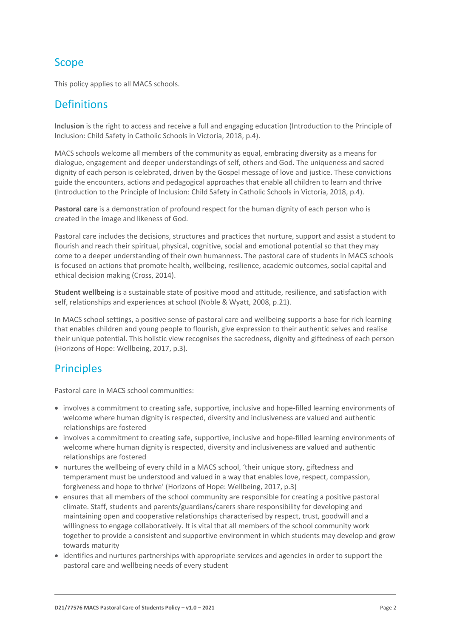# **Scope**

This policy applies to all MACS schools.

### **Definitions**

**Inclusion** is the right to access and receive a full and engaging education (Introduction to the Principle of Inclusion: Child Safety in Catholic Schools in Victoria, 2018, p.4).

MACS schools welcome all members of the community as equal, embracing diversity as a means for dialogue, engagement and deeper understandings of self, others and God. The uniqueness and sacred dignity of each person is celebrated, driven by the Gospel message of love and justice. These convictions guide the encounters, actions and pedagogical approaches that enable all children to learn and thrive (Introduction to the Principle of Inclusion: Child Safety in Catholic Schools in Victoria, 2018, p.4).

**Pastoral care** is a demonstration of profound respect for the human dignity of each person who is created in the image and likeness of God.

Pastoral care includes the decisions, structures and practices that nurture, support and assist a student to flourish and reach their spiritual, physical, cognitive, social and emotional potential so that they may come to a deeper understanding of their own humanness. The pastoral care of students in MACS schools is focused on actions that promote health, wellbeing, resilience, academic outcomes, social capital and ethical decision making (Cross, 2014).

**Student wellbeing** is a sustainable state of positive mood and attitude, resilience, and satisfaction with self, relationships and experiences at school (Noble & Wyatt, 2008, p.21).

In MACS school settings, a positive sense of pastoral care and wellbeing supports a base for rich learning that enables children and young people to flourish, give expression to their authentic selves and realise their unique potential. This holistic view recognises the sacredness, dignity and giftedness of each person (Horizons of Hope: Wellbeing, 2017, p.3).

# **Principles**

Pastoral care in MACS school communities:

- involves a commitment to creating safe, supportive, inclusive and hope-filled learning environments of welcome where human dignity is respected, diversity and inclusiveness are valued and authentic relationships are fostered
- involves a commitment to creating safe, supportive, inclusive and hope-filled learning environments of welcome where human dignity is respected, diversity and inclusiveness are valued and authentic relationships are fostered
- nurtures the wellbeing of every child in a MACS school, 'their unique story, giftedness and temperament must be understood and valued in a way that enables love, respect, compassion, forgiveness and hope to thrive' (Horizons of Hope: Wellbeing, 2017, p.3)
- ensures that all members of the school community are responsible for creating a positive pastoral climate. Staff, students and parents/guardians/carers share responsibility for developing and maintaining open and cooperative relationships characterised by respect, trust, goodwill and a willingness to engage collaboratively. It is vital that all members of the school community work together to provide a consistent and supportive environment in which students may develop and grow towards maturity
- identifies and nurtures partnerships with appropriate services and agencies in order to support the pastoral care and wellbeing needs of every student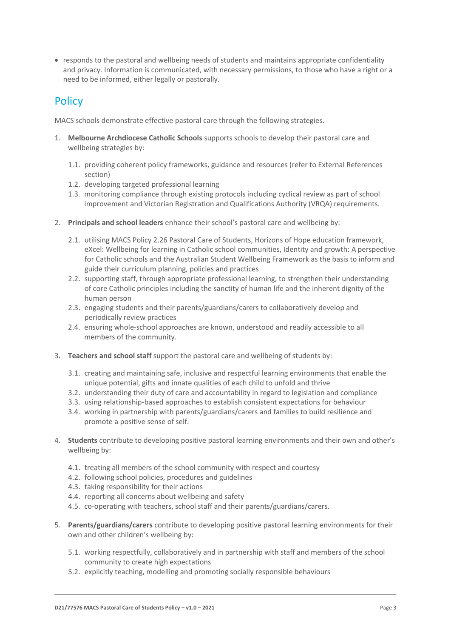• responds to the pastoral and wellbeing needs of students and maintains appropriate confidentiality and privacy. Information is communicated, with necessary permissions, to those who have a right or a need to be informed, either legally or pastorally.

# **Policy**

MACS schools demonstrate effective pastoral care through the following strategies.

- 1. **Melbourne Archdiocese Catholic Schools** supports schools to develop their pastoral care and wellbeing strategies by:
	- 1.1. providing coherent policy frameworks, guidance and resources (refer to External References section)
	- 1.2. developing targeted professional learning
	- 1.3. monitoring compliance through existing protocols including cyclical review as part of school improvement and Victorian Registration and Qualifications Authority (VRQA) requirements.
- 2. **Principals and school leaders** enhance their school's pastoral care and wellbeing by:
	- 2.1. utilising MACS Policy 2.26 Pastoral Care of Students, Horizons of Hope education framework, eXcel: Wellbeing for learning in Catholic school communities, Identity and growth: A perspective for Catholic schools and the Australian Student Wellbeing Framework as the basis to inform and guide their curriculum planning, policies and practices
	- 2.2. supporting staff, through appropriate professional learning, to strengthen their understanding of core Catholic principles including the sanctity of human life and the inherent dignity of the human person
	- 2.3. engaging students and their parents/guardians/carers to collaboratively develop and periodically review practices
	- 2.4. ensuring whole-school approaches are known, understood and readily accessible to all members of the community.
- 3. **Teachers and school staff** support the pastoral care and wellbeing of students by:
	- 3.1. creating and maintaining safe, inclusive and respectful learning environments that enable the unique potential, gifts and innate qualities of each child to unfold and thrive
	- 3.2. understanding their duty of care and accountability in regard to legislation and compliance
	- 3.3. using relationship-based approaches to establish consistent expectations for behaviour
	- 3.4. working in partnership with parents/guardians/carers and families to build resilience and promote a positive sense of self.
- 4. **Students** contribute to developing positive pastoral learning environments and their own and other's wellbeing by:
	- 4.1. treating all members of the school community with respect and courtesy
	- 4.2. following school policies, procedures and guidelines
	- 4.3. taking responsibility for their actions
	- 4.4. reporting all concerns about wellbeing and safety
	- 4.5. co-operating with teachers, school staff and their parents/guardians/carers.
- 5. **Parents/guardians/carers** contribute to developing positive pastoral learning environments for their own and other children's wellbeing by:
	- 5.1. working respectfully, collaboratively and in partnership with staff and members of the school community to create high expectations
	- 5.2. explicitly teaching, modelling and promoting socially responsible behaviours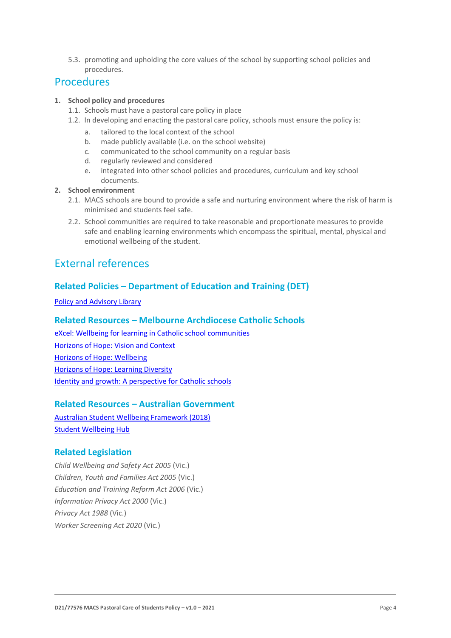5.3. promoting and upholding the core values of the school by supporting school policies and procedures.

### Procedures

#### **1. School policy and procedures**

- 1.1. Schools must have a pastoral care policy in place
- 1.2. In developing and enacting the pastoral care policy, schools must ensure the policy is:
	- a. tailored to the local context of the school
	- b. made publicly available (i.e. on the school website)
	- c. communicated to the school community on a regular basis
	- d. regularly reviewed and considered
	- e. integrated into other school policies and procedures, curriculum and key school documents.
- **2. School environment**
	- 2.1. MACS schools are bound to provide a safe and nurturing environment where the risk of harm is minimised and students feel safe.
	- 2.2. School communities are required to take reasonable and proportionate measures to provide safe and enabling learning environments which encompass the spiritual, mental, physical and emotional wellbeing of the student.

### External references

### **Related Policies – Department of Education and Training (DET)**

[Policy and Advisory Library](https://www2.education.vic.gov.au/pal)

#### **Related Resources – Melbourne Archdiocese Catholic Schools**

[eXcel: Wellbeing for learning in Catholic school communities](https://www.cem.edu.au/Our-Schools/Curriculum-Learning-Programs/Student-Wellbeing/eXcel.aspx) [Horizons of Hope: Vision and Context](https://www.cem.edu.au/Our-Schools/Curriculum-Learning-Programs/Horizons-of-Hope/Vision-Context.aspx) [Horizons of Hope: Wellbeing](https://www.cem.edu.au/Our-Schools/Curriculum-Learning-Programs/Student-Wellbeing.aspx) [Horizons of Hope: Learning Diversity](https://www.cem.edu.au/Our-Schools/Curriculum-Learning-Programs/Horizons-of-Hope/Learning-Diversity.aspx) [Identity and growth: A perspective for Catholic schools](https://cevn.cecv.catholic.edu.au/Melb/CI/Identity-Growth)

### **Related Resources – Australian Government**

[Australian Student Wellbeing Framework \(2018\)](https://www.studentwellbeinghub.edu.au/docs/default-source/aswf_booklet-pdf.pdf) [Student Wellbeing Hub](https://www.studentwellbeinghub.edu.au/)

### **Related Legislation**

*Child Wellbeing and Safety Act 2005* (Vic.) *Children, Youth and Families Act 2005* (Vic.) *Education and Training Reform Act 2006* (Vic.) *Information Privacy Act 2000* (Vic.) *Privacy Act 1988* (Vic.) *Worker Screening Act 2020* (Vic.)